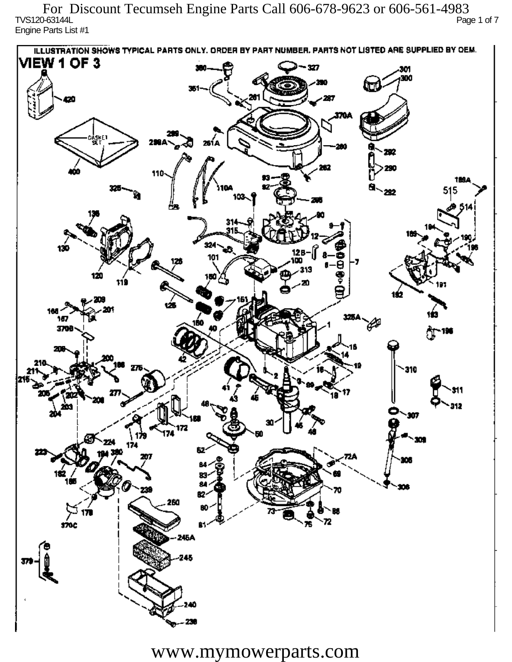TVS120-63144L Page 1 of 7 Engine Parts List #1 For Discount Tecumseh Engine Parts Call 606-678-9623 or 606-561-4983

ILLUSTRATION SHOWS TYPICAL PARTS ONLY. ORDER BY PART NUMBER, PARTS NOT LISTED ARE SUPPLIED BY OEM. **VIEW 1 OF 3** - 327 301 300 20 370A iskF1 261 A ж 292 290 110 1894 515 292 324 130 12 R 101 313 120 دھر 1ś2 ÚБ 160 167 160 P 3709 196 77 310 912 201 Ô,  $\mathbf{m}$ 172 174 174 182 ÷. ß2 260 72 sioc 76 81 245A 245 40

www.mymowerparts.com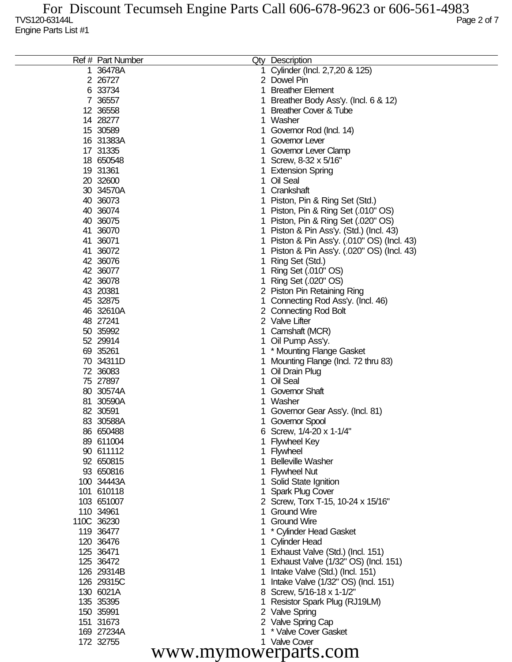|    | Ref # Part Number      |    | Qty Description                                     |
|----|------------------------|----|-----------------------------------------------------|
| 1. | 36478A                 |    | 1 Cylinder (Incl. 2,7,20 & 125)                     |
|    | 2 26727                |    | 2 Dowel Pin                                         |
|    | 6 33734                | 1. | <b>Breather Element</b>                             |
|    | 7 36557                | 1  | Breather Body Ass'y. (Incl. 6 & 12)                 |
|    | 12 36558               | 1. | <b>Breather Cover &amp; Tube</b>                    |
|    | 14 28277               |    | 1 Washer                                            |
|    | 15 30589               |    | 1 Governor Rod (Incl. 14)                           |
|    | 16 31383A              |    | 1 Governor Lever                                    |
|    | 17 31335               |    | 1 Governor Lever Clamp                              |
|    | 18 650548              |    | 1 Screw, 8-32 x 5/16"                               |
|    | 19 31361               |    | 1 Extension Spring                                  |
|    | 20 32600               |    | 1 Oil Seal                                          |
|    | 30 34570A              |    | 1 Crankshaft                                        |
|    | 40 36073               |    | 1 Piston, Pin & Ring Set (Std.)                     |
|    | 40 36074               |    | 1 Piston, Pin & Ring Set (.010" OS)                 |
|    | 40 36075               |    | 1 Piston, Pin & Ring Set (.020" OS)                 |
|    | 41 36070               |    | 1 Piston & Pin Ass'y. (Std.) (Incl. 43)             |
|    | 41 36071               |    | 1 Piston & Pin Ass'y. (.010" OS) (Incl. 43)         |
|    | 41 36072               | 1  | Piston & Pin Ass'y. (.020" OS) (Incl. 43)           |
|    | 42 36076               | 1  | Ring Set (Std.)                                     |
|    | 42 36077               | 1  | Ring Set (.010" OS)                                 |
|    | 42 36078               | 1  | Ring Set (.020" OS)                                 |
|    | 43 20381               |    | 2 Piston Pin Retaining Ring                         |
|    | 45 32875               |    | 1 Connecting Rod Ass'y. (Incl. 46)                  |
|    | 46 32610A              |    | 2 Connecting Rod Bolt                               |
|    | 48 27241               |    | 2 Valve Lifter                                      |
|    | 50 35992               |    | 1 Camshaft (MCR)                                    |
|    | 52 29914               |    | 1 Oil Pump Ass'y.                                   |
|    | 69 35261               |    | 1 * Mounting Flange Gasket                          |
|    | 70 34311D              | 1  | Mounting Flange (Incl. 72 thru 83)                  |
|    | 72 36083               | 1. | Oil Drain Plug<br>Oil Seal                          |
|    | 75 27897               | 1. |                                                     |
|    | 80 30574A<br>81 30590A | 1. | <b>Governor Shaft</b><br>1 Washer                   |
|    | 82 30591               |    |                                                     |
|    | 83 30588A              |    | Governor Gear Ass'y. (Incl. 81)<br>1 Governor Spool |
|    | 86 650488              |    | 6 Screw, 1/4-20 x 1-1/4"                            |
|    | 89 611004              |    | <b>Flywheel Key</b>                                 |
|    | 90 611112              |    | 1 Flywheel                                          |
|    | 92 650815              | 1. | <b>Belleville Washer</b>                            |
|    | 93 650816              |    | 1 Flywheel Nut                                      |
|    | 100 34443A             |    | 1 Solid State Ignition                              |
|    | 101 610118             |    | 1 Spark Plug Cover                                  |
|    | 103 651007             |    | 2 Screw, Torx T-15, 10-24 x 15/16"                  |
|    | 110 34961              |    | 1 Ground Wire                                       |
|    | 110C 36230             |    | 1 Ground Wire                                       |
|    | 119 36477              |    | 1 * Cylinder Head Gasket                            |
|    | 120 36476              |    | 1 Cylinder Head                                     |
|    | 125 36471              |    | 1 Exhaust Valve (Std.) (Incl. 151)                  |
|    | 125 36472              |    | 1 Exhaust Valve (1/32" OS) (Incl. 151)              |
|    | 126 29314B             |    | 1 Intake Valve (Std.) (Incl. 151)                   |
|    | 126 29315C             | 1. | Intake Valve (1/32" OS) (Incl. 151)                 |
|    | 130 6021A              |    | 8 Screw, 5/16-18 x 1-1/2"                           |
|    | 135 35395              |    | Resistor Spark Plug (RJ19LM)                        |
|    | 150 35991              |    | 2 Valve Spring                                      |
|    | 151 31673              |    | 2 Valve Spring Cap                                  |
|    | 169 27234A             |    | 1 * Valve Cover Gasket                              |
|    | 172 32755              |    | 1 Valve Cover                                       |
|    | www.mymowerparts.com   |    |                                                     |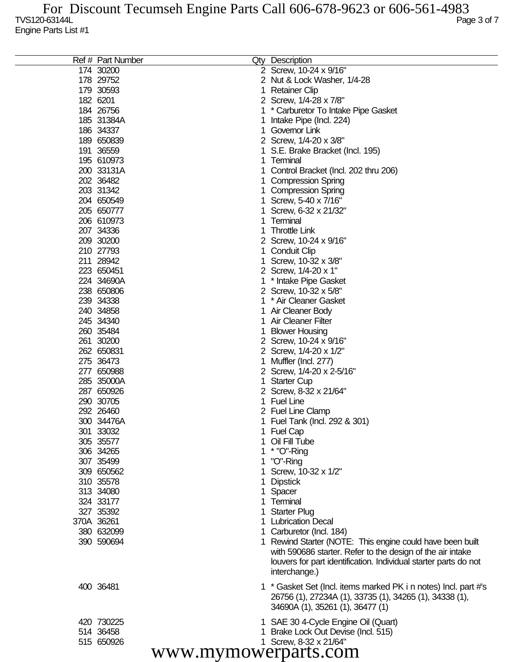| Ref # Part Number    |   | Qty Description                                                  |  |  |  |
|----------------------|---|------------------------------------------------------------------|--|--|--|
| 174 30200            |   | 2 Screw, 10-24 x 9/16"                                           |  |  |  |
| 178 29752            |   | 2 Nut & Lock Washer, 1/4-28                                      |  |  |  |
| 179 30593            | 1 | <b>Retainer Clip</b>                                             |  |  |  |
| 182 6201             |   | 2 Screw, 1/4-28 x 7/8"                                           |  |  |  |
| 184 26756            |   | * Carburetor To Intake Pipe Gasket                               |  |  |  |
| 185 31384A           |   | Intake Pipe (Incl. 224)                                          |  |  |  |
| 186 34337            | 1 | Governor Link                                                    |  |  |  |
| 189 650839           |   | 2 Screw, 1/4-20 x 3/8"                                           |  |  |  |
| 191 36559            |   | S.E. Brake Bracket (Incl. 195)                                   |  |  |  |
| 195 610973           | 1 | Terminal                                                         |  |  |  |
| 200 33131A           |   | Control Bracket (Incl. 202 thru 206)                             |  |  |  |
| 202 36482            |   | <b>Compression Spring</b>                                        |  |  |  |
| 203 31342            |   | <b>Compression Spring</b>                                        |  |  |  |
| 204 650549           |   | Screw, 5-40 x 7/16"                                              |  |  |  |
| 205 650777           |   | Screw, 6-32 x 21/32"                                             |  |  |  |
| 206 610973           |   | Terminal                                                         |  |  |  |
| 207 34336            | 1 | <b>Throttle Link</b>                                             |  |  |  |
| 209 30200            |   | 2 Screw, 10-24 x 9/16"                                           |  |  |  |
|                      |   |                                                                  |  |  |  |
| 210 27793            |   | <b>Conduit Clip</b>                                              |  |  |  |
| 211 28942            |   | Screw, 10-32 x 3/8"                                              |  |  |  |
| 223 650451           |   | 2 Screw, 1/4-20 x 1"                                             |  |  |  |
| 224 34690A           |   | * Intake Pipe Gasket                                             |  |  |  |
| 238 650806           |   | 2 Screw, 10-32 x 5/8"                                            |  |  |  |
| 239 34338            |   | * Air Cleaner Gasket                                             |  |  |  |
| 240 34858            |   | Air Cleaner Body                                                 |  |  |  |
| 245 34340            | 1 | Air Cleaner Filter                                               |  |  |  |
| 260 35484            |   | <b>Blower Housing</b>                                            |  |  |  |
| 261 30200            |   | 2 Screw, 10-24 x 9/16"                                           |  |  |  |
| 262 650831           |   | 2 Screw, 1/4-20 x 1/2"                                           |  |  |  |
| 275 36473            |   | Muffler (Incl. 277)                                              |  |  |  |
| 277 650988           |   | 2 Screw, 1/4-20 x 2-5/16"                                        |  |  |  |
| 285 35000A           |   | <b>Starter Cup</b>                                               |  |  |  |
| 287 650926           |   | 2 Screw, 8-32 x 21/64"                                           |  |  |  |
| 290 30705            |   | <b>Fuel Line</b>                                                 |  |  |  |
| 292 26460            |   | 2 Fuel Line Clamp                                                |  |  |  |
| 300 34476A           |   | Fuel Tank (Incl. 292 & 301)                                      |  |  |  |
| 301 33032            |   | 1 Fuel Cap                                                       |  |  |  |
| 305 35577            |   | 1 Oil Fill Tube                                                  |  |  |  |
| 306 34265            |   | * "O"-Ring                                                       |  |  |  |
| 307 35499            |   | "O"-Ring                                                         |  |  |  |
| 309 650562           |   | Screw, 10-32 x 1/2"                                              |  |  |  |
| 310 35578            |   | <b>Dipstick</b>                                                  |  |  |  |
| 313 34080            |   | Spacer                                                           |  |  |  |
| 324 33177            |   | Terminal                                                         |  |  |  |
| 327 35392            |   | <b>Starter Plug</b>                                              |  |  |  |
| 370A 36261           |   | <b>Lubrication Decal</b>                                         |  |  |  |
| 380 632099           |   | Carburetor (Incl. 184)                                           |  |  |  |
| 390 590694           |   | 1 Rewind Starter (NOTE: This engine could have been built        |  |  |  |
|                      |   | with 590686 starter. Refer to the design of the air intake       |  |  |  |
|                      |   | louvers for part identification. Individual starter parts do not |  |  |  |
|                      |   |                                                                  |  |  |  |
|                      |   | interchange.)                                                    |  |  |  |
| 400 36481            |   | 1 * Gasket Set (Incl. items marked PK i n notes) Incl. part #'s  |  |  |  |
|                      |   | 26756 (1), 27234A (1), 33735 (1), 34265 (1), 34338 (1),          |  |  |  |
|                      |   | 34690A (1), 35261 (1), 36477 (1)                                 |  |  |  |
|                      |   |                                                                  |  |  |  |
| 420 730225           |   | 1 SAE 30 4-Cycle Engine Oil (Quart)                              |  |  |  |
| 514 36458            |   | Brake Lock Out Devise (Incl. 515)                                |  |  |  |
| 515 650926           |   | 1 Screw, 8-32 x 21/64"                                           |  |  |  |
| www.mymowerparts.com |   |                                                                  |  |  |  |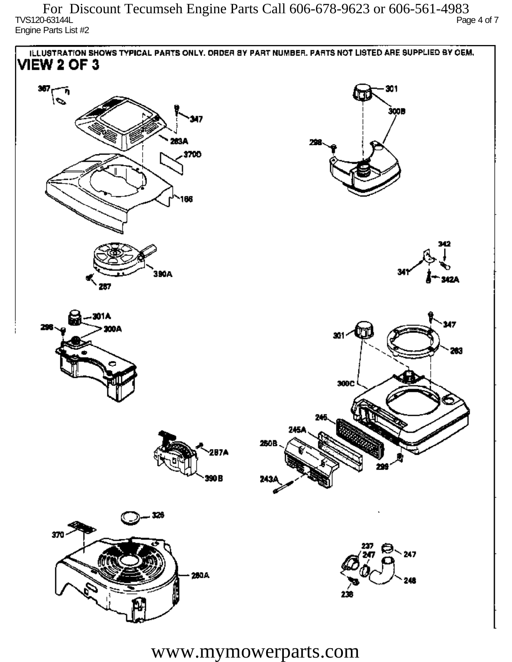$T$ VS120-63144L Page 4 of 7 Engine Parts List #2 For Discount Tecumseh Engine Parts Call 606-678-9623 or 606-561-4983



www.mymowerparts.com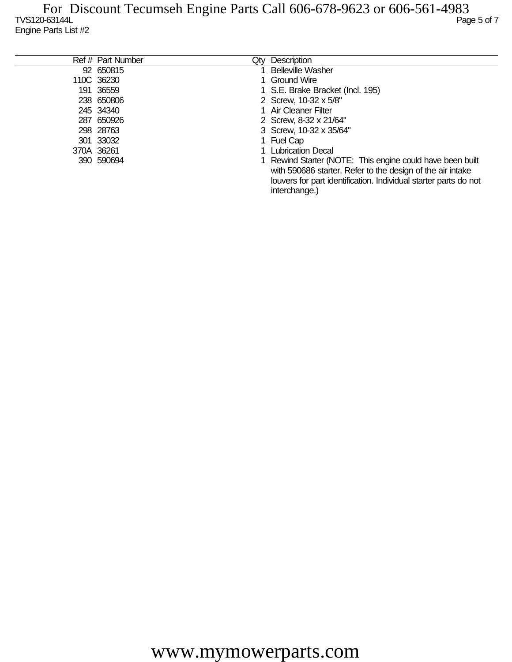TVS120-63144L Page 5 of 7 Engine Parts List #2 For Discount Tecumseh Engine Parts Call 606-678-9623 or 606-561-4983

| Ref # Part Number | Qtv | Description                                                                                                                                                                                                  |
|-------------------|-----|--------------------------------------------------------------------------------------------------------------------------------------------------------------------------------------------------------------|
| 92 650815         |     | <b>Belleville Washer</b>                                                                                                                                                                                     |
| 110C 36230        |     | 1 Ground Wire                                                                                                                                                                                                |
| 191 36559         |     | 1 S.E. Brake Bracket (Incl. 195)                                                                                                                                                                             |
| 238 650806        |     | 2 Screw, 10-32 x 5/8"                                                                                                                                                                                        |
| 245 34340         |     | 1 Air Cleaner Filter                                                                                                                                                                                         |
| 287 650926        |     | 2 Screw, 8-32 x 21/64"                                                                                                                                                                                       |
| 298 28763         |     | 3 Screw, 10-32 x 35/64"                                                                                                                                                                                      |
| 301 33032         |     | 1 Fuel Cap                                                                                                                                                                                                   |
| 370A 36261        |     | 1 Lubrication Decal                                                                                                                                                                                          |
| 390 590694        |     | 1 Rewind Starter (NOTE: This engine could have been built<br>with 590686 starter. Refer to the design of the air intake<br>louvers for part identification. Individual starter parts do not<br>interchange.) |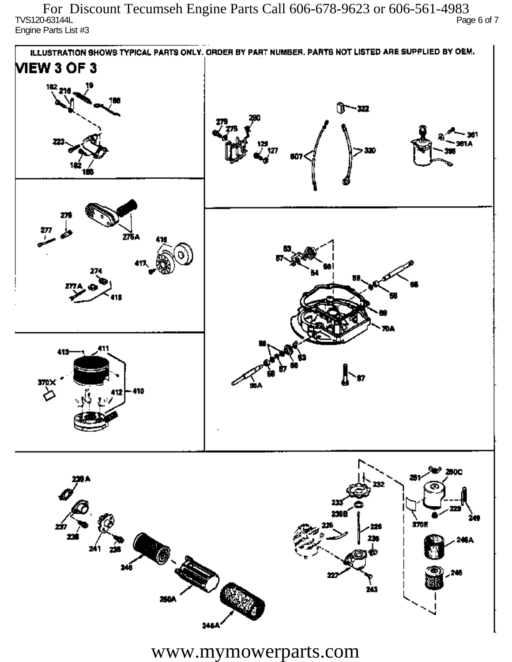$\overline{C}$  TVS120-63144L Page 6 of 7 Engine Parts List #3 For Discount Tecumseh Engine Parts Call 606-678-9623 or 606-561-4983



www.mymowerparts.com